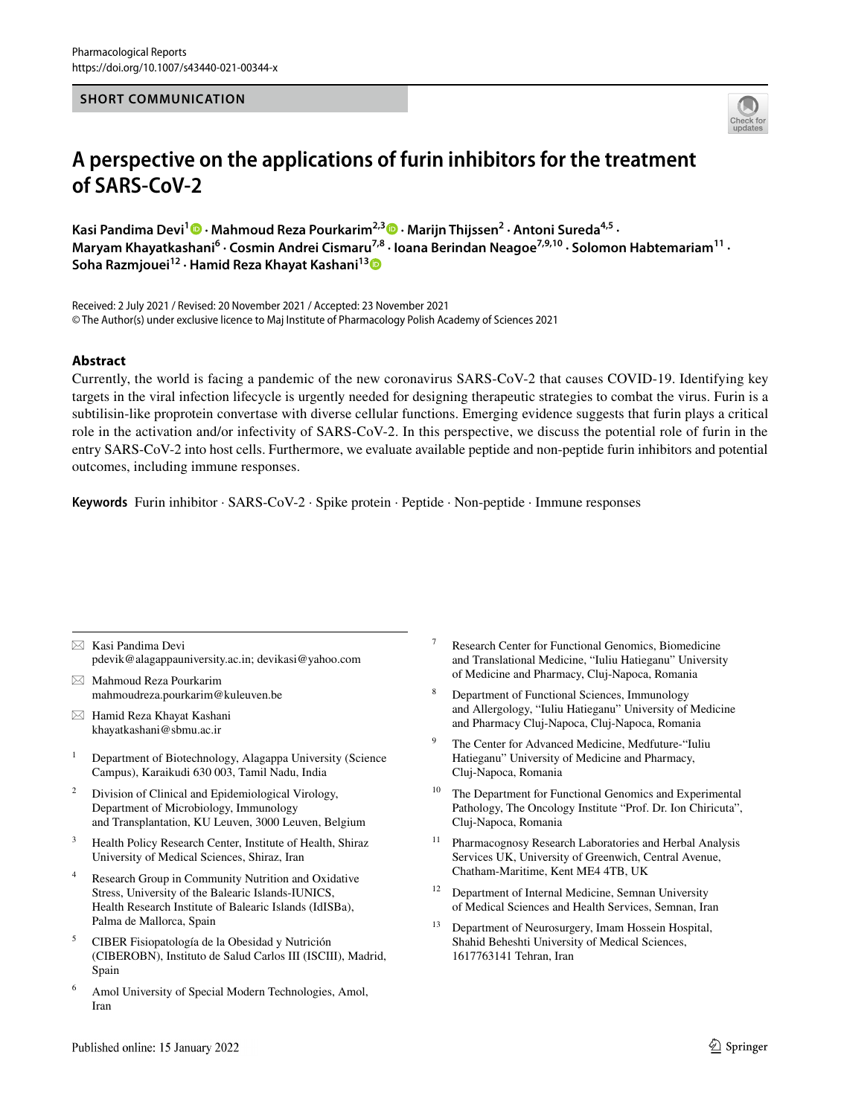#### **SHORT COMMUNICATION**



# **A perspective on the applications of furin inhibitors for the treatment of SARS‑CoV‑2**

**Kasi Pandima Devi1 · Mahmoud Reza Pourkarim2,3  [·](http://orcid.org/0000-0003-4620-6453) Marijn Thijssen2 · Antoni Sureda4,5 ·**  Maryam Khayatkashani<sup>6</sup> · Cosmin Andrei Cismaru<sup>7,8</sup> · Ioana Berindan Neagoe<sup>7,9,10</sup> · Solomon Habtemariam<sup>11</sup> · **Soha Razmjouei12 · Hamid Reza Khayat Kashani1[3](http://orcid.org/0000-0003-3711-6763)**

Received: 2 July 2021 / Revised: 20 November 2021 / Accepted: 23 November 2021 © The Author(s) under exclusive licence to Maj Institute of Pharmacology Polish Academy of Sciences 2021

#### **Abstract**

Currently, the world is facing a pandemic of the new coronavirus SARS-CoV-2 that causes COVID-19. Identifying key targets in the viral infection lifecycle is urgently needed for designing therapeutic strategies to combat the virus. Furin is a subtilisin-like proprotein convertase with diverse cellular functions. Emerging evidence suggests that furin plays a critical role in the activation and/or infectivity of SARS-CoV-2. In this perspective, we discuss the potential role of furin in the entry SARS-CoV-2 into host cells. Furthermore, we evaluate available peptide and non-peptide furin inhibitors and potential outcomes, including immune responses.

**Keywords** Furin inhibitor · SARS-CoV-2 · Spike protein · Peptide · Non-peptide · Immune responses

- $\boxtimes$  Kasi Pandima Devi pdevik@alagappauniversity.ac.in; devikasi@yahoo.com
- $\boxtimes$  Mahmoud Reza Pourkarim mahmoudreza.pourkarim@kuleuven.be
- $\boxtimes$  Hamid Reza Khayat Kashani khayatkashani@sbmu.ac.ir
- <sup>1</sup> Department of Biotechnology, Alagappa University (Science Campus), Karaikudi 630 003, Tamil Nadu, India
- <sup>2</sup> Division of Clinical and Epidemiological Virology, Department of Microbiology, Immunology and Transplantation, KU Leuven, 3000 Leuven, Belgium
- Health Policy Research Center, Institute of Health, Shiraz University of Medical Sciences, Shiraz, Iran
- Research Group in Community Nutrition and Oxidative Stress, University of the Balearic Islands-IUNICS, Health Research Institute of Balearic Islands (IdISBa), Palma de Mallorca, Spain
- <sup>5</sup> CIBER Fisiopatología de la Obesidad y Nutrición (CIBEROBN), Instituto de Salud Carlos III (ISCIII), Madrid, Spain
- Amol University of Special Modern Technologies, Amol, Iran
- Research Center for Functional Genomics, Biomedicine and Translational Medicine, "Iuliu Hatieganu" University of Medicine and Pharmacy, Cluj-Napoca, Romania
- <sup>8</sup> Department of Functional Sciences, Immunology and Allergology, "Iuliu Hatieganu" University of Medicine and Pharmacy Cluj-Napoca, Cluj-Napoca, Romania
- The Center for Advanced Medicine, Medfuture-"Iuliu Hatieganu" University of Medicine and Pharmacy, Cluj-Napoca, Romania
- <sup>10</sup> The Department for Functional Genomics and Experimental Pathology, The Oncology Institute "Prof. Dr. Ion Chiricuta", Cluj-Napoca, Romania
- <sup>11</sup> Pharmacognosy Research Laboratories and Herbal Analysis Services UK, University of Greenwich, Central Avenue, Chatham-Maritime, Kent ME4 4TB, UK
- <sup>12</sup> Department of Internal Medicine, Semnan University of Medical Sciences and Health Services, Semnan, Iran
- <sup>13</sup> Department of Neurosurgery, Imam Hossein Hospital, Shahid Beheshti University of Medical Sciences, 1617763141 Tehran, Iran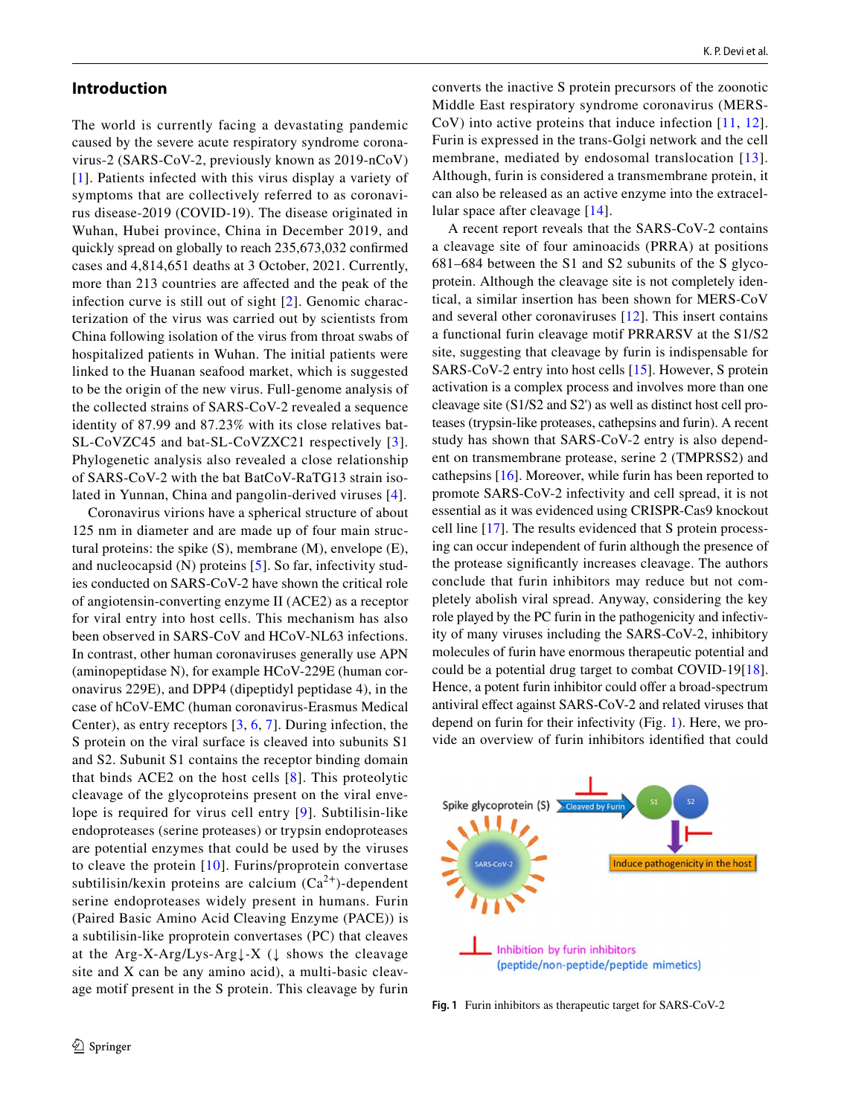### **Introduction**

The world is currently facing a devastating pandemic caused by the severe acute respiratory syndrome coronavirus-2 (SARS-CoV-2, previously known as 2019-nCoV) [[1\]](#page-4-0). Patients infected with this virus display a variety of symptoms that are collectively referred to as coronavirus disease-2019 (COVID-19). The disease originated in Wuhan, Hubei province, China in December 2019, and quickly spread on globally to reach 235,673,032 confrmed cases and 4,814,651 deaths at 3 October, 2021. Currently, more than 213 countries are afected and the peak of the infection curve is still out of sight [[2\]](#page-4-1). Genomic characterization of the virus was carried out by scientists from China following isolation of the virus from throat swabs of hospitalized patients in Wuhan. The initial patients were linked to the Huanan seafood market, which is suggested to be the origin of the new virus. Full-genome analysis of the collected strains of SARS-CoV-2 revealed a sequence identity of 87.99 and 87.23% with its close relatives bat-SL-CoVZC45 and bat-SL-CoVZXC21 respectively [[3](#page-4-2)]. Phylogenetic analysis also revealed a close relationship of SARS-CoV-2 with the bat BatCoV-RaTG13 strain isolated in Yunnan, China and pangolin-derived viruses [[4](#page-4-3)].

Coronavirus virions have a spherical structure of about 125 nm in diameter and are made up of four main structural proteins: the spike (S), membrane (M), envelope (E), and nucleocapsid (N) proteins [[5\]](#page-4-4). So far, infectivity studies conducted on SARS-CoV-2 have shown the critical role of angiotensin-converting enzyme II (ACE2) as a receptor for viral entry into host cells. This mechanism has also been observed in SARS-CoV and HCoV-NL63 infections. In contrast, other human coronaviruses generally use APN (aminopeptidase N), for example HCoV-229E (human coronavirus 229E), and DPP4 (dipeptidyl peptidase 4), in the case of hCoV-EMC (human coronavirus-Erasmus Medical Center), as entry receptors [\[3,](#page-4-2) [6,](#page-4-5) [7](#page-4-6)]. During infection, the S protein on the viral surface is cleaved into subunits S1 and S2. Subunit S1 contains the receptor binding domain that binds ACE2 on the host cells [\[8\]](#page-4-7). This proteolytic cleavage of the glycoproteins present on the viral envelope is required for virus cell entry [[9](#page-4-8)]. Subtilisin-like endoproteases (serine proteases) or trypsin endoproteases are potential enzymes that could be used by the viruses to cleave the protein [[10](#page-4-9)]. Furins/proprotein convertase subtilisin/kexin proteins are calcium  $(Ca^{2+})$ -dependent serine endoproteases widely present in humans. Furin (Paired Basic Amino Acid Cleaving Enzyme (PACE)) is a subtilisin-like proprotein convertases (PC) that cleaves at the Arg-X-Arg/Lys-Arg↓-X (↓ shows the cleavage site and X can be any amino acid), a multi-basic cleavage motif present in the S protein. This cleavage by furin converts the inactive S protein precursors of the zoonotic Middle East respiratory syndrome coronavirus (MERS-CoV) into active proteins that induce infection [\[11,](#page-4-10) [12](#page-4-11)]. Furin is expressed in the trans-Golgi network and the cell membrane, mediated by endosomal translocation [[13\]](#page-4-12). Although, furin is considered a transmembrane protein, it can also be released as an active enzyme into the extracellular space after cleavage [[14\]](#page-4-13).

A recent report reveals that the SARS-CoV-2 contains a cleavage site of four aminoacids (PRRA) at positions 681–684 between the S1 and S2 subunits of the S glycoprotein. Although the cleavage site is not completely identical, a similar insertion has been shown for MERS-CoV and several other coronaviruses [\[12](#page-4-11)]. This insert contains a functional furin cleavage motif PRRARSV at the S1/S2 site, suggesting that cleavage by furin is indispensable for SARS-CoV-2 entry into host cells [[15\]](#page-4-14). However, S protein activation is a complex process and involves more than one cleavage site (S1/S2 and S2') as well as distinct host cell proteases (trypsin-like proteases, cathepsins and furin). A recent study has shown that SARS-CoV-2 entry is also dependent on transmembrane protease, serine 2 (TMPRSS2) and cathepsins [\[16](#page-4-15)]. Moreover, while furin has been reported to promote SARS-CoV-2 infectivity and cell spread, it is not essential as it was evidenced using CRISPR-Cas9 knockout cell line [\[17\]](#page-4-16). The results evidenced that S protein processing can occur independent of furin although the presence of the protease signifcantly increases cleavage. The authors conclude that furin inhibitors may reduce but not completely abolish viral spread. Anyway, considering the key role played by the PC furin in the pathogenicity and infectivity of many viruses including the SARS-CoV-2, inhibitory molecules of furin have enormous therapeutic potential and could be a potential drug target to combat COVID-19[\[18](#page-4-17)]. Hence, a potent furin inhibitor could offer a broad-spectrum antiviral efect against SARS-CoV-2 and related viruses that depend on furin for their infectivity (Fig. [1\)](#page-1-0). Here, we provide an overview of furin inhibitors identifed that could



<span id="page-1-0"></span>**Fig. 1** Furin inhibitors as therapeutic target for SARS-CoV-2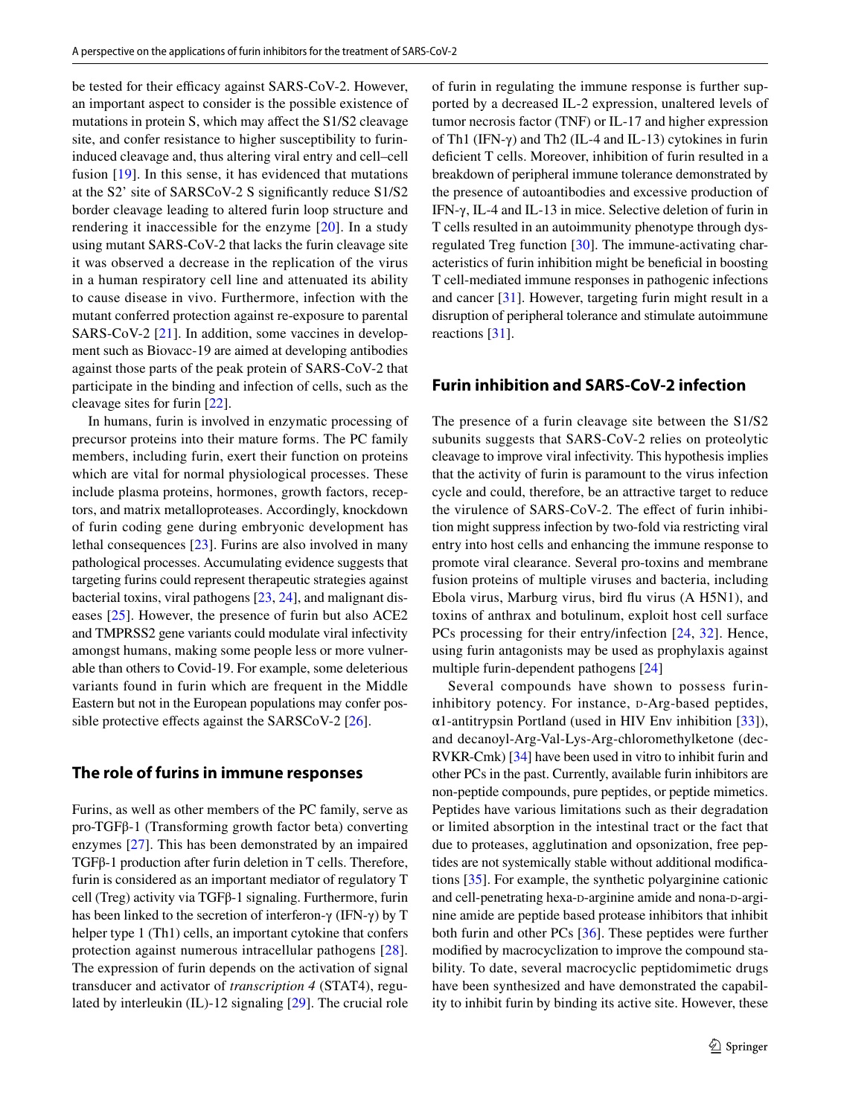be tested for their efficacy against SARS-CoV-2. However, an important aspect to consider is the possible existence of mutations in protein S, which may afect the S1/S2 cleavage site, and confer resistance to higher susceptibility to furininduced cleavage and, thus altering viral entry and cell–cell fusion [\[19\]](#page-4-18). In this sense, it has evidenced that mutations at the S2' site of SARSCoV-2 S signifcantly reduce S1/S2 border cleavage leading to altered furin loop structure and rendering it inaccessible for the enzyme [\[20\]](#page-4-19). In a study using mutant SARS-CoV-2 that lacks the furin cleavage site it was observed a decrease in the replication of the virus in a human respiratory cell line and attenuated its ability to cause disease in vivo. Furthermore, infection with the mutant conferred protection against re-exposure to parental SARS-CoV-2 [[21\]](#page-4-20). In addition, some vaccines in development such as Biovacc-19 are aimed at developing antibodies against those parts of the peak protein of SARS-CoV-2 that participate in the binding and infection of cells, such as the cleavage sites for furin [\[22](#page-4-21)].

In humans, furin is involved in enzymatic processing of precursor proteins into their mature forms. The PC family members, including furin, exert their function on proteins which are vital for normal physiological processes. These include plasma proteins, hormones, growth factors, receptors, and matrix metalloproteases. Accordingly, knockdown of furin coding gene during embryonic development has lethal consequences [[23\]](#page-5-0). Furins are also involved in many pathological processes. Accumulating evidence suggests that targeting furins could represent therapeutic strategies against bacterial toxins, viral pathogens [[23,](#page-5-0) [24](#page-5-1)], and malignant diseases [[25](#page-5-2)]. However, the presence of furin but also ACE2 and TMPRSS2 gene variants could modulate viral infectivity amongst humans, making some people less or more vulnerable than others to Covid-19. For example, some deleterious variants found in furin which are frequent in the Middle Eastern but not in the European populations may confer possible protective effects against the SARSCoV-2  $[26]$  $[26]$ .

## **The role of furins in immune responses**

Furins, as well as other members of the PC family, serve as pro-TGFβ-1 (Transforming growth factor beta) converting enzymes [[27\]](#page-5-4). This has been demonstrated by an impaired TGFβ-1 production after furin deletion in T cells. Therefore, furin is considered as an important mediator of regulatory T cell (Treg) activity via TGFβ-1 signaling. Furthermore, furin has been linked to the secretion of interferon-γ (IFN-γ) by T helper type 1 (Th1) cells, an important cytokine that confers protection against numerous intracellular pathogens [[28](#page-5-5)]. The expression of furin depends on the activation of signal transducer and activator of *transcription 4* (STAT4), regulated by interleukin (IL)-12 signaling [[29\]](#page-5-6). The crucial role of furin in regulating the immune response is further supported by a decreased IL-2 expression, unaltered levels of tumor necrosis factor (TNF) or IL-17 and higher expression of Th1 (IFN-γ) and Th2 (IL-4 and IL-13) cytokines in furin deficient T cells. Moreover, inhibition of furin resulted in a breakdown of peripheral immune tolerance demonstrated by the presence of autoantibodies and excessive production of IFN-γ, IL-4 and IL-13 in mice. Selective deletion of furin in T cells resulted in an autoimmunity phenotype through dysregulated Treg function [[30\]](#page-5-7). The immune-activating characteristics of furin inhibition might be benefcial in boosting T cell-mediated immune responses in pathogenic infections and cancer [\[31](#page-5-8)]. However, targeting furin might result in a disruption of peripheral tolerance and stimulate autoimmune reactions [\[31\]](#page-5-8).

# **Furin inhibition and SARS‑CoV‑2 infection**

The presence of a furin cleavage site between the S1/S2 subunits suggests that SARS-CoV-2 relies on proteolytic cleavage to improve viral infectivity. This hypothesis implies that the activity of furin is paramount to the virus infection cycle and could, therefore, be an attractive target to reduce the virulence of SARS-CoV-2. The effect of furin inhibition might suppress infection by two-fold via restricting viral entry into host cells and enhancing the immune response to promote viral clearance. Several pro-toxins and membrane fusion proteins of multiple viruses and bacteria, including Ebola virus, Marburg virus, bird fu virus (A H5N1), and toxins of anthrax and botulinum, exploit host cell surface PCs processing for their entry/infection [\[24,](#page-5-1) [32\]](#page-5-9). Hence, using furin antagonists may be used as prophylaxis against multiple furin-dependent pathogens [\[24](#page-5-1)]

Several compounds have shown to possess furininhibitory potency. For instance, p-Arg-based peptides, α1-antitrypsin Portland (used in HIV Env inhibition [[33\]](#page-5-10)), and decanoyl-Arg-Val-Lys-Arg-chloromethylketone (dec-RVKR-Cmk) [[34\]](#page-5-11) have been used in vitro to inhibit furin and other PCs in the past. Currently, available furin inhibitors are non-peptide compounds, pure peptides, or peptide mimetics. Peptides have various limitations such as their degradation or limited absorption in the intestinal tract or the fact that due to proteases, agglutination and opsonization, free peptides are not systemically stable without additional modifcations [[35\]](#page-5-12). For example, the synthetic polyarginine cationic and cell-penetrating hexa-p-arginine amide and nona-p-arginine amide are peptide based protease inhibitors that inhibit both furin and other PCs [\[36\]](#page-5-13). These peptides were further modifed by macrocyclization to improve the compound stability. To date, several macrocyclic peptidomimetic drugs have been synthesized and have demonstrated the capability to inhibit furin by binding its active site. However, these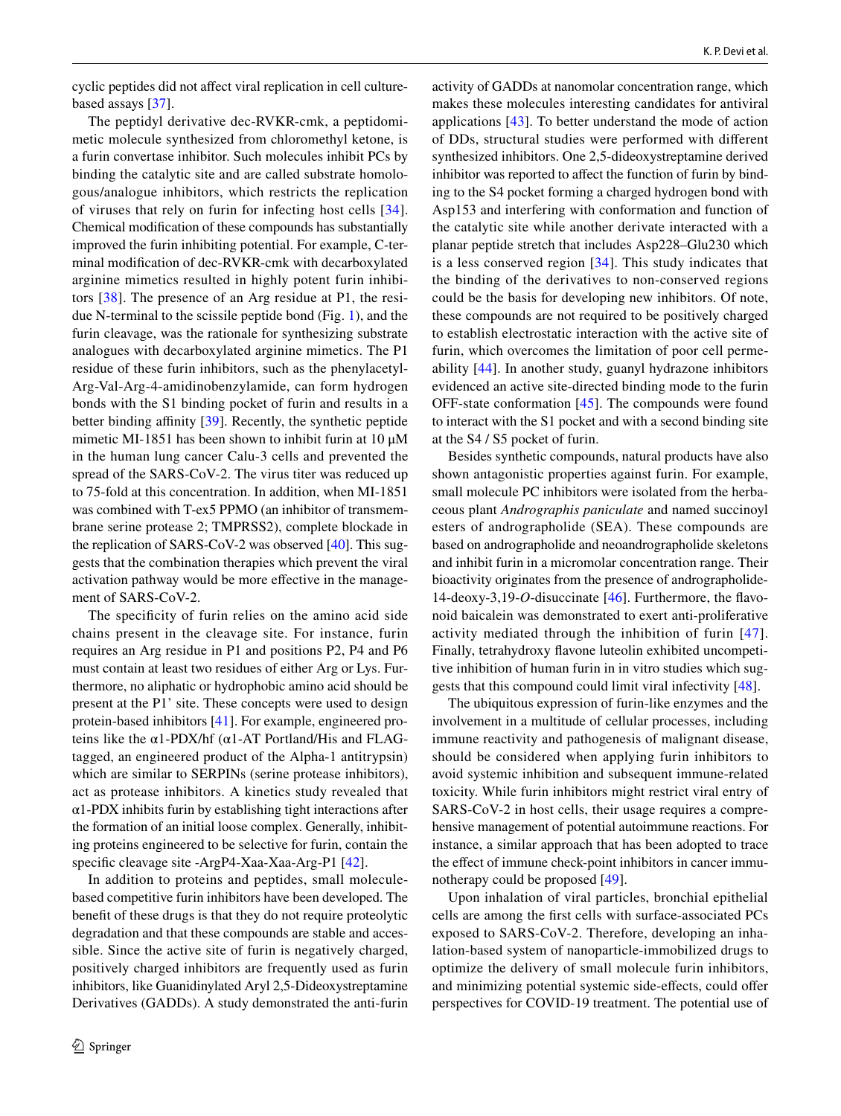cyclic peptides did not afect viral replication in cell culturebased assays [[37\]](#page-5-14).

The peptidyl derivative dec-RVKR-cmk, a peptidomimetic molecule synthesized from chloromethyl ketone, is a furin convertase inhibitor. Such molecules inhibit PCs by binding the catalytic site and are called substrate homologous/analogue inhibitors, which restricts the replication of viruses that rely on furin for infecting host cells [[34](#page-5-11)]. Chemical modifcation of these compounds has substantially improved the furin inhibiting potential. For example, C-terminal modifcation of dec-RVKR-cmk with decarboxylated arginine mimetics resulted in highly potent furin inhibitors [\[38\]](#page-5-15). The presence of an Arg residue at P1, the residue N-terminal to the scissile peptide bond (Fig. [1\)](#page-1-0), and the furin cleavage, was the rationale for synthesizing substrate analogues with decarboxylated arginine mimetics. The P1 residue of these furin inhibitors, such as the phenylacetyl-Arg-Val-Arg-4-amidinobenzylamide, can form hydrogen bonds with the S1 binding pocket of furin and results in a better binding affinity [\[39\]](#page-5-16). Recently, the synthetic peptide mimetic MI-1851 has been shown to inhibit furin at 10 μM in the human lung cancer Calu-3 cells and prevented the spread of the SARS-CoV-2. The virus titer was reduced up to 75-fold at this concentration. In addition, when MI-1851 was combined with T-ex5 PPMO (an inhibitor of transmembrane serine protease 2; TMPRSS2), complete blockade in the replication of SARS-CoV-2 was observed [[40](#page-5-17)]. This suggests that the combination therapies which prevent the viral activation pathway would be more efective in the management of SARS-CoV-2.

The specifcity of furin relies on the amino acid side chains present in the cleavage site. For instance, furin requires an Arg residue in P1 and positions P2, P4 and P6 must contain at least two residues of either Arg or Lys. Furthermore, no aliphatic or hydrophobic amino acid should be present at the P1' site. These concepts were used to design protein-based inhibitors [[41\]](#page-5-18). For example, engineered proteins like the  $α1-PDX/hf(α1-AT$  Portland/His and FLAGtagged, an engineered product of the Alpha-1 antitrypsin) which are similar to SERPINs (serine protease inhibitors), act as protease inhibitors. A kinetics study revealed that  $\alpha$ 1-PDX inhibits furin by establishing tight interactions after the formation of an initial loose complex. Generally, inhibiting proteins engineered to be selective for furin, contain the specifc cleavage site -ArgP4-Xaa-Xaa-Arg-P1 [[42\]](#page-5-19).

In addition to proteins and peptides, small moleculebased competitive furin inhibitors have been developed. The beneft of these drugs is that they do not require proteolytic degradation and that these compounds are stable and accessible. Since the active site of furin is negatively charged, positively charged inhibitors are frequently used as furin inhibitors, like Guanidinylated Aryl 2,5-Dideoxystreptamine Derivatives (GADDs). A study demonstrated the anti-furin activity of GADDs at nanomolar concentration range, which makes these molecules interesting candidates for antiviral applications [[43\]](#page-5-20). To better understand the mode of action of DDs, structural studies were performed with diferent synthesized inhibitors. One 2,5-dideoxystreptamine derived inhibitor was reported to affect the function of furin by binding to the S4 pocket forming a charged hydrogen bond with Asp153 and interfering with conformation and function of the catalytic site while another derivate interacted with a planar peptide stretch that includes Asp228–Glu230 which is a less conserved region [\[34\]](#page-5-11). This study indicates that the binding of the derivatives to non-conserved regions could be the basis for developing new inhibitors. Of note, these compounds are not required to be positively charged to establish electrostatic interaction with the active site of furin, which overcomes the limitation of poor cell permeability [[44\]](#page-5-21). In another study, guanyl hydrazone inhibitors evidenced an active site-directed binding mode to the furin OFF-state conformation [[45](#page-5-22)]. The compounds were found to interact with the S1 pocket and with a second binding site at the S4 / S5 pocket of furin.

Besides synthetic compounds, natural products have also shown antagonistic properties against furin. For example, small molecule PC inhibitors were isolated from the herbaceous plant *Andrographis paniculate* and named succinoyl esters of andrographolide (SEA). These compounds are based on andrographolide and neoandrographolide skeletons and inhibit furin in a micromolar concentration range. Their bioactivity originates from the presence of andrographolide-14-deoxy-3,19-*O*-disuccinate [[46\]](#page-5-23). Furthermore, the favonoid baicalein was demonstrated to exert anti-proliferative activity mediated through the inhibition of furin [[47](#page-5-24)]. Finally, tetrahydroxy favone luteolin exhibited uncompetitive inhibition of human furin in in vitro studies which suggests that this compound could limit viral infectivity [[48](#page-5-25)].

The ubiquitous expression of furin-like enzymes and the involvement in a multitude of cellular processes, including immune reactivity and pathogenesis of malignant disease, should be considered when applying furin inhibitors to avoid systemic inhibition and subsequent immune-related toxicity. While furin inhibitors might restrict viral entry of SARS-CoV-2 in host cells, their usage requires a comprehensive management of potential autoimmune reactions. For instance, a similar approach that has been adopted to trace the effect of immune check-point inhibitors in cancer immunotherapy could be proposed [[49\]](#page-5-26).

Upon inhalation of viral particles, bronchial epithelial cells are among the frst cells with surface-associated PCs exposed to SARS-CoV-2. Therefore, developing an inhalation-based system of nanoparticle-immobilized drugs to optimize the delivery of small molecule furin inhibitors, and minimizing potential systemic side-effects, could offer perspectives for COVID-19 treatment. The potential use of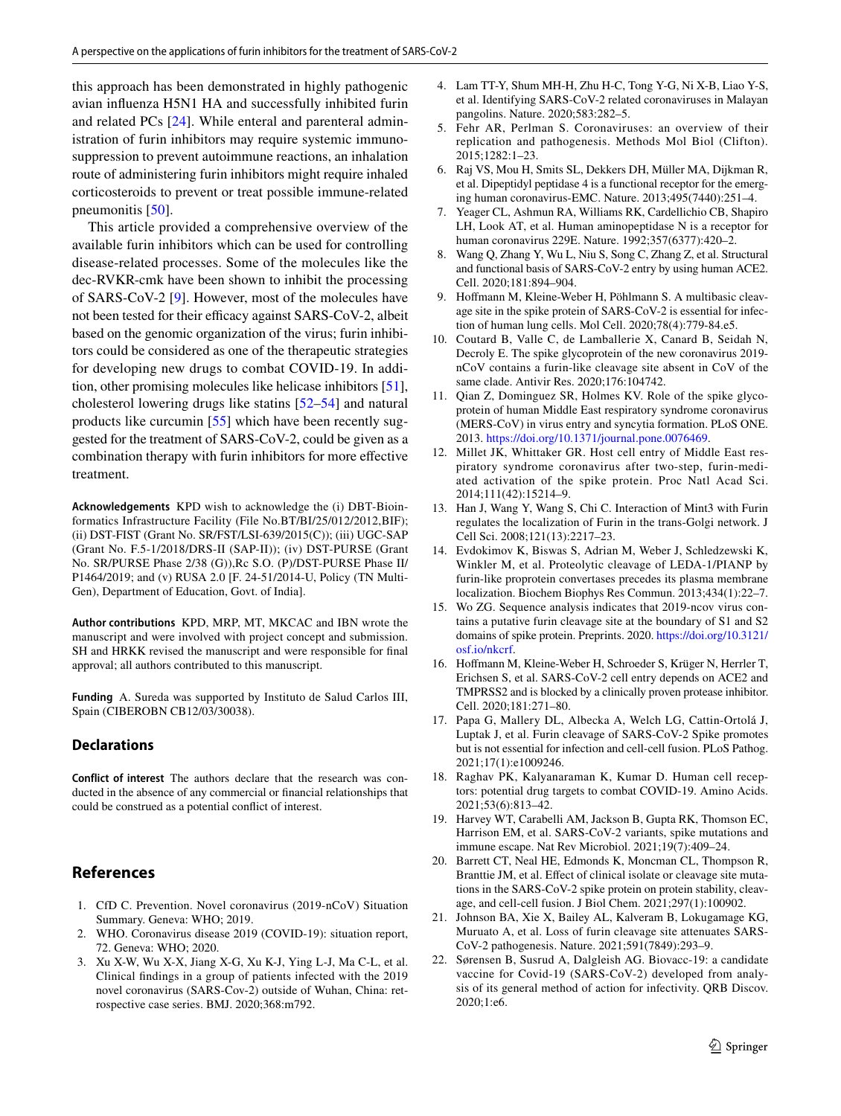this approach has been demonstrated in highly pathogenic avian infuenza H5N1 HA and successfully inhibited furin and related PCs [[24](#page-5-1)]. While enteral and parenteral administration of furin inhibitors may require systemic immunosuppression to prevent autoimmune reactions, an inhalation route of administering furin inhibitors might require inhaled corticosteroids to prevent or treat possible immune-related pneumonitis [[50\]](#page-5-27).

This article provided a comprehensive overview of the available furin inhibitors which can be used for controlling disease-related processes. Some of the molecules like the dec-RVKR-cmk have been shown to inhibit the processing of SARS-CoV-2 [\[9](#page-4-8)]. However, most of the molecules have not been tested for their efficacy against SARS-CoV-2, albeit based on the genomic organization of the virus; furin inhibitors could be considered as one of the therapeutic strategies for developing new drugs to combat COVID-19. In addition, other promising molecules like helicase inhibitors [\[51](#page-5-28)], cholesterol lowering drugs like statins [\[52](#page-5-29)[–54](#page-5-30)] and natural products like curcumin [\[55\]](#page-5-31) which have been recently suggested for the treatment of SARS-CoV-2, could be given as a combination therapy with furin inhibitors for more efective treatment.

**Acknowledgements** KPD wish to acknowledge the (i) DBT-Bioinformatics Infrastructure Facility (File No.BT/BI/25/012/2012,BIF); (ii) DST-FIST (Grant No. SR/FST/LSI-639/2015(C)); (iii) UGC-SAP (Grant No. F.5-1/2018/DRS-II (SAP-II)); (iv) DST-PURSE (Grant No. SR/PURSE Phase 2/38 (G)),Rc S.O. (P)/DST-PURSE Phase II/ P1464/2019; and (v) RUSA 2.0 [F. 24-51/2014-U, Policy (TN Multi-Gen), Department of Education, Govt. of India].

**Author contributions** KPD, MRP, MT, MKCAC and IBN wrote the manuscript and were involved with project concept and submission. SH and HRKK revised the manuscript and were responsible for fnal approval; all authors contributed to this manuscript.

**Funding** A. Sureda was supported by Instituto de Salud Carlos III, Spain (CIBEROBN CB12/03/30038).

#### **Declarations**

**Conflict of interest** The authors declare that the research was conducted in the absence of any commercial or fnancial relationships that could be construed as a potential confict of interest.

# **References**

- <span id="page-4-0"></span>1. CfD C. Prevention. Novel coronavirus (2019-nCoV) Situation Summary. Geneva: WHO; 2019.
- <span id="page-4-1"></span>2. WHO. Coronavirus disease 2019 (COVID-19): situation report, 72. Geneva: WHO; 2020.
- <span id="page-4-2"></span>3. Xu X-W, Wu X-X, Jiang X-G, Xu K-J, Ying L-J, Ma C-L, et al. Clinical fndings in a group of patients infected with the 2019 novel coronavirus (SARS-Cov-2) outside of Wuhan, China: retrospective case series. BMJ. 2020;368:m792.
- <span id="page-4-3"></span>4. Lam TT-Y, Shum MH-H, Zhu H-C, Tong Y-G, Ni X-B, Liao Y-S, et al. Identifying SARS-CoV-2 related coronaviruses in Malayan pangolins. Nature. 2020;583:282–5.
- <span id="page-4-4"></span>5. Fehr AR, Perlman S. Coronaviruses: an overview of their replication and pathogenesis. Methods Mol Biol (Clifton). 2015;1282:1–23.
- <span id="page-4-5"></span>6. Raj VS, Mou H, Smits SL, Dekkers DH, Müller MA, Dijkman R, et al. Dipeptidyl peptidase 4 is a functional receptor for the emerging human coronavirus-EMC. Nature. 2013;495(7440):251–4.
- <span id="page-4-6"></span>7. Yeager CL, Ashmun RA, Williams RK, Cardellichio CB, Shapiro LH, Look AT, et al. Human aminopeptidase N is a receptor for human coronavirus 229E. Nature. 1992;357(6377):420–2.
- <span id="page-4-7"></span>8. Wang Q, Zhang Y, Wu L, Niu S, Song C, Zhang Z, et al. Structural and functional basis of SARS-CoV-2 entry by using human ACE2. Cell. 2020;181:894–904.
- <span id="page-4-8"></span>9. Hofmann M, Kleine-Weber H, Pöhlmann S. A multibasic cleavage site in the spike protein of SARS-CoV-2 is essential for infection of human lung cells. Mol Cell. 2020;78(4):779-84.e5.
- <span id="page-4-9"></span>10. Coutard B, Valle C, de Lamballerie X, Canard B, Seidah N, Decroly E. The spike glycoprotein of the new coronavirus 2019 nCoV contains a furin-like cleavage site absent in CoV of the same clade. Antivir Res. 2020;176:104742.
- <span id="page-4-10"></span>11. Qian Z, Dominguez SR, Holmes KV. Role of the spike glycoprotein of human Middle East respiratory syndrome coronavirus (MERS-CoV) in virus entry and syncytia formation. PLoS ONE. 2013. <https://doi.org/10.1371/journal.pone.0076469>.
- <span id="page-4-11"></span>12. Millet JK, Whittaker GR. Host cell entry of Middle East respiratory syndrome coronavirus after two-step, furin-mediated activation of the spike protein. Proc Natl Acad Sci. 2014;111(42):15214–9.
- <span id="page-4-12"></span>13. Han J, Wang Y, Wang S, Chi C. Interaction of Mint3 with Furin regulates the localization of Furin in the trans-Golgi network. J Cell Sci. 2008;121(13):2217–23.
- <span id="page-4-13"></span>14. Evdokimov K, Biswas S, Adrian M, Weber J, Schledzewski K, Winkler M, et al. Proteolytic cleavage of LEDA-1/PIANP by furin-like proprotein convertases precedes its plasma membrane localization. Biochem Biophys Res Commun. 2013;434(1):22–7.
- <span id="page-4-14"></span>15. Wo ZG. Sequence analysis indicates that 2019-ncov virus contains a putative furin cleavage site at the boundary of S1 and S2 domains of spike protein. Preprints. 2020. [https://doi.org/10.3121/](https://doi.org/10.3121/osf.io/nkcrf) [osf.io/nkcrf](https://doi.org/10.3121/osf.io/nkcrf).
- <span id="page-4-15"></span>16. Hofmann M, Kleine-Weber H, Schroeder S, Krüger N, Herrler T, Erichsen S, et al. SARS-CoV-2 cell entry depends on ACE2 and TMPRSS2 and is blocked by a clinically proven protease inhibitor. Cell. 2020;181:271–80.
- <span id="page-4-16"></span>17. Papa G, Mallery DL, Albecka A, Welch LG, Cattin-Ortolá J, Luptak J, et al. Furin cleavage of SARS-CoV-2 Spike promotes but is not essential for infection and cell-cell fusion. PLoS Pathog. 2021;17(1):e1009246.
- <span id="page-4-17"></span>18. Raghav PK, Kalyanaraman K, Kumar D. Human cell receptors: potential drug targets to combat COVID-19. Amino Acids. 2021;53(6):813–42.
- <span id="page-4-18"></span>19. Harvey WT, Carabelli AM, Jackson B, Gupta RK, Thomson EC, Harrison EM, et al. SARS-CoV-2 variants, spike mutations and immune escape. Nat Rev Microbiol. 2021;19(7):409–24.
- <span id="page-4-19"></span>20. Barrett CT, Neal HE, Edmonds K, Moncman CL, Thompson R, Branttie JM, et al. Effect of clinical isolate or cleavage site mutations in the SARS-CoV-2 spike protein on protein stability, cleavage, and cell-cell fusion. J Biol Chem. 2021;297(1):100902.
- <span id="page-4-20"></span>21. Johnson BA, Xie X, Bailey AL, Kalveram B, Lokugamage KG, Muruato A, et al. Loss of furin cleavage site attenuates SARS-CoV-2 pathogenesis. Nature. 2021;591(7849):293–9.
- <span id="page-4-21"></span>22. Sørensen B, Susrud A, Dalgleish AG. Biovacc-19: a candidate vaccine for Covid-19 (SARS-CoV-2) developed from analysis of its general method of action for infectivity. QRB Discov. 2020;1:e6.